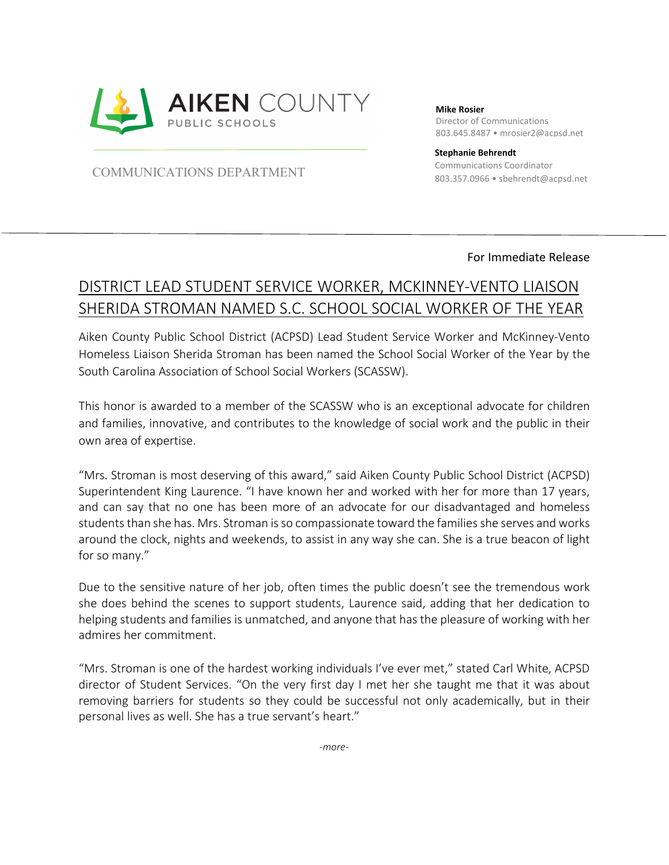

**Mike Rosier**

Director of Communications 803.645.8487 • mrosier2@acpsd.net

803.357.0966 • sbehrendt@acpsd.net COMMUNICATIONS DEPARTMENT

**Stephanie Behrendt** Communications Coordinator

## For Immediate Release

## DISTRICT LEAD STUDENT SERVICE WORKER, MCKINNEY-VENTO LIAISON SHERIDA STROMAN NAMED S.C. SCHOOL SOCIAL WORKER OF THE YEAR

Aiken County Public School District (ACPSD) Lead Student Service Worker and McKinney-Vento Homeless Liaison Sherida Stroman has been named the School Social Worker of the Year by the South Carolina Association of School Social Workers (SCASSW).

This honor is awarded to a member of the SCASSW who is an exceptional advocate for children and families, innovative, and contributes to the knowledge of social work and the public in their own area of expertise.

"Mrs. Stroman is most deserving of this award," said Aiken County Public School District (ACPSD) Superintendent King Laurence. "I have known her and worked with her for more than 17 years, and can say that no one has been more of an advocate for our disadvantaged and homeless students than she has. Mrs. Stroman is so compassionate toward the familiesshe serves and works around the clock, nights and weekends, to assist in any way she can. She is a true beacon of light for so many."

Due to the sensitive nature of her job, often times the public doesn't see the tremendous work she does behind the scenes to support students, Laurence said, adding that her dedication to helping students and families is unmatched, and anyone that has the pleasure of working with her admires her commitment.

"Mrs. Stroman is one of the hardest working individuals I've ever met," stated Carl White, ACPSD director of Student Services. "On the very first day I met her she taught me that it was about removing barriers for students so they could be successful not only academically, but in their personal lives as well. She has a true servant's heart."

*-more-*